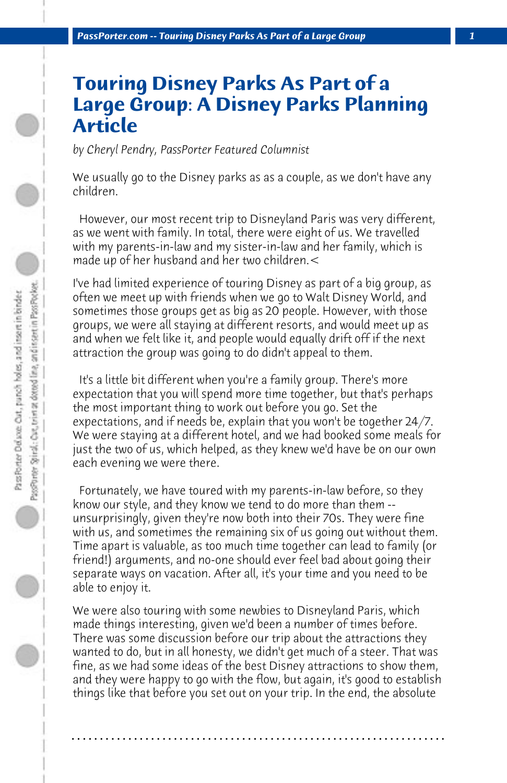## **Touring Disney Parks As Part of a Large Group: A Disney Parks Planning Article**

*by Cheryl Pendry, PassPorter Featured Columnist*

We usually go to the Disney parks as as a couple, as we don't have any children.

 However, our most recent trip to Disneyland Paris was very different, as we went with family. In total, there were eight of us. We travelled with my parents-in-law and my sister-in-law and her family, which is made up of her husband and her two children.<

I've had limited experience of touring Disney as part of a big group, as often we meet up with friends when we go to Walt Disney World, and sometimes those groups get as big as 20 people. However, with those groups, we were all staying at different resorts, and would meet up as and when we felt like it, and people would equally drift off if the next attraction the group was going to do didn't appeal to them.

 It's a little bit different when you're a family group. There's more expectation that you will spend more time together, but that's perhaps the most important thing to work out before you go. Set the expectations, and if needs be, explain that you won't be together 24/7. We were staying at a different hotel, and we had booked some meals for just the two of us, which helped, as they knew we'd have be on our own each evening we were there.

 Fortunately, we have toured with my parents-in-law before, so they know our style, and they know we tend to do more than them - unsurprisingly, given they're now both into their 70s. They were fine with us, and sometimes the remaining six of us going out without them. Time apart is valuable, as too much time together can lead to family (or friend!) arguments, and no-one should ever feel bad about going their separate ways on vacation. After all, it's your time and you need to be able to enjoy it.

We were also touring with some newbies to Disneyland Paris, which made things interesting, given we'd been a number of times before. There was some discussion before our trip about the attractions they wanted to do, but in all honesty, we didn't get much of a steer. That was fine, as we had some ideas of the best Disney attractions to show them, and they were happy to go with the flow, but again, it's good to establish things like that before you set out on your trip. In the end, the absolute

**. . . . . . . . . . . . . . . . . . . . . . . . . . . . . . . . . . . . . . . . . . . . . . . . . . . . . . . . . . . . . . . . . .**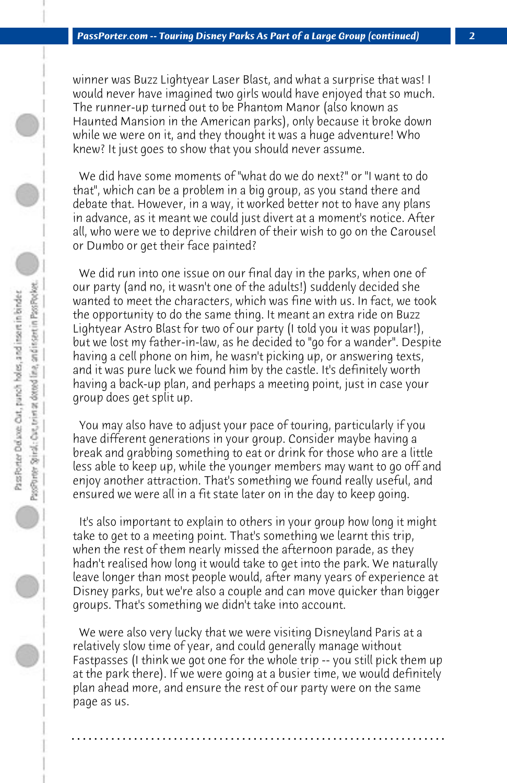winner was Buzz Lightyear Laser Blast, and what a surprise that was! I would never have imagined two girls would have enjoyed that so much. The runner-up turned out to be Phantom Manor (also known as Haunted Mansion in the American parks), only because it broke down while we were on it, and they thought it was a huge adventure! Who knew? It just goes to show that you should never assume.

 We did have some moments of "what do we do next?" or "I want to do that", which can be a problem in a big group, as you stand there and debate that. However, in a way, it worked better not to have any plans in advance, as it meant we could just divert at a moment's notice. After all, who were we to deprive children of their wish to go on the Carousel or Dumbo or get their face painted?

 We did run into one issue on our final day in the parks, when one of our party (and no, it wasn't one of the adults!) suddenly decided she wanted to meet the characters, which was fine with us. In fact, we took the opportunity to do the same thing. It meant an extra ride on Buzz Lightyear Astro Blast for two of our party (I told you it was popular!), but we lost my father-in-law, as he decided to "go for a wander". Despite having a cell phone on him, he wasn't picking up, or answering texts, and it was pure luck we found him by the castle. It's definitely worth having a back-up plan, and perhaps a meeting point, just in case your group does get split up.

 You may also have to adjust your pace of touring, particularly if you have different generations in your group. Consider maybe having a break and grabbing something to eat or drink for those who are a little less able to keep up, while the younger members may want to go off and enjoy another attraction. That's something we found really useful, and ensured we were all in a fit state later on in the day to keep going.

 It's also important to explain to others in your group how long it might take to get to a meeting point. That's something we learnt this trip, when the rest of them nearly missed the afternoon parade, as they hadn't realised how long it would take to get into the park. We naturally leave longer than most people would, after many years of experience at Disney parks, but we're also a couple and can move quicker than bigger groups. That's something we didn't take into account.

 We were also very lucky that we were visiting Disneyland Paris at a relatively slow time of year, and could generally manage without Fastpasses (I think we got one for the whole trip -- you still pick them up at the park there). If we were going at a busier time, we would definitely plan ahead more, and ensure the rest of our party were on the same page as us.

**. . . . . . . . . . . . . . . . . . . . . . . . . . . . . . . . . . . . . . . . . . . . . . . . . . . . . . . . . . . . . . . . . .**